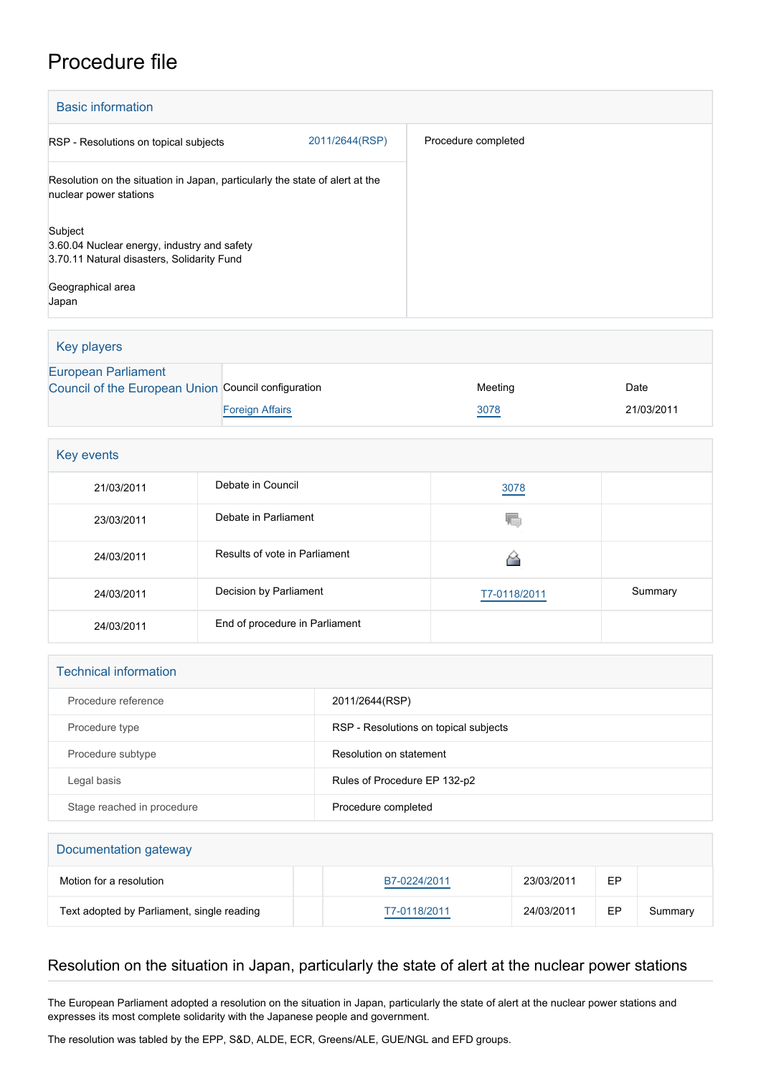## Procedure file

| <b>Basic information</b>                                                                                                  |                |                     |  |  |
|---------------------------------------------------------------------------------------------------------------------------|----------------|---------------------|--|--|
| RSP - Resolutions on topical subjects                                                                                     | 2011/2644(RSP) | Procedure completed |  |  |
| Resolution on the situation in Japan, particularly the state of alert at the<br>nuclear power stations                    |                |                     |  |  |
| Subject<br>3.60.04 Nuclear energy, industry and safety<br>3.70.11 Natural disasters, Solidarity Fund<br>Geographical area |                |                     |  |  |
| Japan                                                                                                                     |                |                     |  |  |

Key players [European Parliament](http://www.europarl.europa.eu/) [Council of the European Union](http://www.consilium.europa.eu) Council configuration **Meeting** Meeting Date **[Foreign Affairs](http://www.consilium.europa.eu/en/council-eu/configurations/fac?lang=en) 21/03/2011** 21/03/2011

| Key events |                                |              |         |
|------------|--------------------------------|--------------|---------|
| 21/03/2011 | Debate in Council              | 3078         |         |
| 23/03/2011 | Debate in Parliament           | YC.          |         |
| 24/03/2011 | Results of vote in Parliament  |              |         |
| 24/03/2011 | Decision by Parliament         | T7-0118/2011 | Summary |
| 24/03/2011 | End of procedure in Parliament |              |         |

| <b>Technical information</b> |                                       |  |
|------------------------------|---------------------------------------|--|
| Procedure reference          | 2011/2644(RSP)                        |  |
| Procedure type               | RSP - Resolutions on topical subjects |  |
| Procedure subtype            | Resolution on statement               |  |
| Legal basis                  | Rules of Procedure EP 132-p2          |  |
| Stage reached in procedure   | Procedure completed                   |  |

## Documentation gateway Motion for a resolution **[B7-0224/2011](https://www.europarl.europa.eu/doceo/document/B-7-2011-0224_EN.html)** B7-0224/2011 **EP** Text adopted by Parliament, single reading TT-0118/2011 24/03/2011 EP Summary

## Resolution on the situation in Japan, particularly the state of alert at the nuclear power stations

The European Parliament adopted a resolution on the situation in Japan, particularly the state of alert at the nuclear power stations and expresses its most complete solidarity with the Japanese people and government.

The resolution was tabled by the EPP, S&D, ALDE, ECR, Greens/ALE, GUE/NGL and EFD groups.